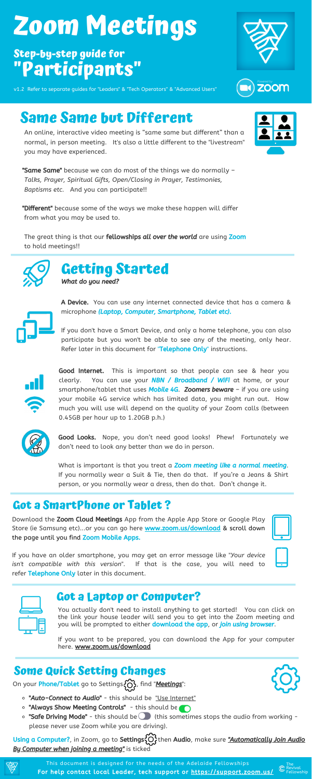Good Internet. This is important so that people can see & hear you clearly. You can use your **NBN / Broadband / WiFi** at home, or your smartphone/tablet that uses **Mobile 4G. Zoomers beware**  $-$  if you are using your mobile 4G service which has limited data, you might run out. How much you will use will depend on the quality of your Zoom calls (between 0.45GB per hour up to 1.20GB p.h.)



**"Same Same"** because we can do most of the things we do normally -*Talks, Prayer, Spiritual Gifts, Open/Closing in Prayer, Testimonies, Baptisms etc.* And you can participate!!

**"Different"** because some of the ways we make these happen will differ from what you may be used to.

The great thing is that our fellowships all over the world are using Zoom to hold meetings!!



An online, interactive video meeting is "same same but different" than a normal, in person meeting. It's also a little different to the "livestream" you may have experienced.

Download the **Zoom Cloud Meetings** App from the Apple App Store or Google Play Store (ie Samsung etc)...or you can go here **[www.zoom.us/download](http://www.zoom.us/download)** & scroll down the page until you find Zoom Mobile Apps.

If you have an older smartphone, you may get an error message like "*Your device isn't compatible with this version*". If that is the case, you will need to refer Telephone Only later in this document.

|  | ٠ |  |
|--|---|--|
|  |   |  |
|  |   |  |
|  |   |  |
|  |   |  |
|  |   |  |
|  |   |  |
|  |   |  |
|  |   |  |
|  |   |  |
|  |   |  |
|  |   |  |
|  |   |  |
|  |   |  |

 $\overline{\phantom{a}}$ 

If you don't have a Smart Device, and only a home telephone, you can also participate but you won't be able to see any of the meeting, only hear. Refer later in this document for "Telephone Only" instructions.



Good Looks. Nope, you don't need good looks! Phew! Fortunately we don't need to look any better than we do in person.

What is important is that you treat a Zoom meeting like a normal meeting. If you normally wear a Suit & Tie, then do that. If you're a Jeans & Shirt person, or you normally wear a dress, then do that. Don't change it.





**ZOOM** 

You actually don't need to install anything to get started! You can click on the link your house leader will send you to get into the Zoom meeting and you will be prompted to either **download the app**, or *join using browser*.

If you want to be prepared, you can download the App for your computer here. [www.zoom.us/download](http://www.zoom.us/download)



### **Same Same but Different**

**Getting Started**

- o "Auto-Connect to Audio" this should be "Use Internet"
- "Always Show Meeting Controls" this should be
- $\circ$  "Safe Driving Mode" this should be (ithis sometimes stops the audio from working please never use Zoom while you are driving).

Using a Computer?, in Zoom, go to Settings { O } then Audio, make sure "Automatically Join Audio By Computer when joining a meeting" is ticked



For help contact local Leader, tech support or <https://support.zoom.us/> This document is designed for the needs of the Adelaide Fellowships





**A Device.** You can use any internet connected device that has a camera & microphone (Laptop, Computer, Smartphone, Tablet etc).

# **Zoom Meetings**

### **Step-by-step guide for "Participants"**

v1.2 Refer to separate guides for "Leaders" & "Tech Operators" & "Advanced Users"

### **Got a SmartPhone or Tablet ?**

### **Got a Laptop or Computer?**

### **Some Quick Setting Changes**

On your **Phone/Tablet** go to Settings  $\{\overrightarrow{O}\}$ , find "**Meetings**":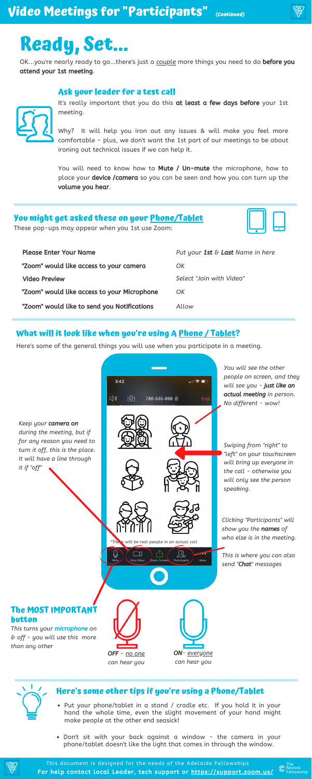#### **Ask your leader for a test call**



It's really important that you do this at least a few days before your 1st meeting.

Why? It will help you iron out any issues & will make you feel more comfortable - plus, we don't want the 1st part of our meetings to be about ironing out technical issues if we can help it.

You will need to know how to **Mute / Un-mute** the microphone, how to place your **device /camera** so you can be seen and how you can turn up the volume you hear.



Here's some of the general things you will use when you participate in a meeting.

*people on screen, and they*  $3:42$  $\blacksquare$   $\approx$   $\blacksquare$ *will see you -* just like an actual meeting *in person.* ⊲∗ भि 780-535-698 @ *No different - wow! Keep your* camera on *during the meeting, but if for any reason you need to Swiping from "right" to turn it off, this is the place. "left" on your touchscreen It will have a line through*

# **Ready, Set...**

OK...you're nearly ready to go...there's just a *couple* more things you need to do before you attend your 1st meeting.

### **What will it look like when you're using A Phone / Tablet?**

For help contact local Leader, tech support or <https://support.zoom.us/> This document is designed for the needs of the Adelaide Fellowships

### **Here's some other tips if you're using a Phone/Tablet**

*You will see the other*



- Put your phone/tablet in a stand / cradle etc. If you hold it in your hand the whole time, even the slight movement of your hand might make people at the other end seasick!
- Don't sit with your back against a window the camera in your phone/tablet doesn't like the light that comes in through the window.



| <b>Please Enter Your Name</b>               | Put your 1st $\epsilon$ Last Name in here |  |
|---------------------------------------------|-------------------------------------------|--|
| "Zoom" would like access to your camera     | OK                                        |  |
| <b>Video Preview</b>                        | Select "Join with Video"                  |  |
| "Zoom" would like access to your Microphone | OK                                        |  |
| "Zoom" would like to send you Notifications | Allow                                     |  |

### **You might get asked these on your Phone/Tablet**

These pop-ups may appear when you 1st use Zoom:



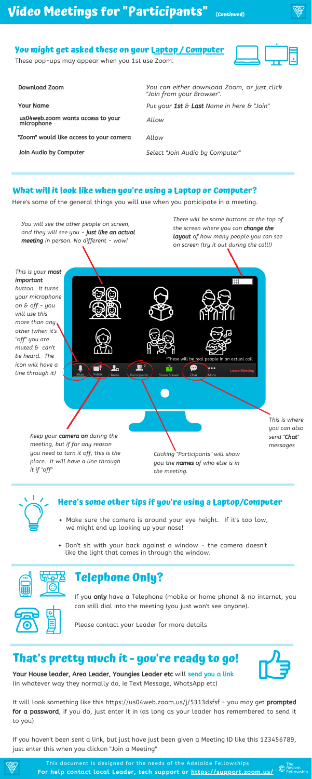

If you only have a Telephone (mobile or home phone) & no internet, you can still dial into the meeting (you just won't see anyone).



Your House leader, Area Leader, Youngies Leader etc will send you a link (in whatever way they normally do, ie Text Message, WhatsApp etc)

Please contact your Leader for more details

It will look something like this https://us04web.zoom.us/j/5313dsfsf - you may get prompted for a password, if you do, just enter it in (as long as your leader has remembered to send it to you)

If you haven't been sent a link, but just have just been given a Meeting ID like this 123456789, just enter this when you clickon "Join a Meeting"



**(Continued)**

### **That's pretty much it - you're ready to go!**

### **Telephone Only?**

Here's some of the general things you will use when you participate in a meeting.

#### **What will it look like when you're using a Laptop or Computer?**

### **Here's some other tips if you're using a Laptop/Computer**

- Make sure the camera is around your eye height. If it's too low, we might end up looking up your nose!
- Don't sit with your back against a window the camera doesn't like the light that comes in through the window.



### **You might get asked these on your Laptop / Computer**

For help contact local Leader, tech support or <https://support.zoom.us/> This document is designed for the needs of the Adelaide Fellowships

These pop-ups may appear when you 1st use Zoom:

| <b>Download Zoom</b>                            | You can either download Zoom, or just click<br>"Join from your Browser". |
|-------------------------------------------------|--------------------------------------------------------------------------|
| <b>Your Name</b>                                | Put your 1st $\epsilon$ Last Name in here $\epsilon$ "Join"              |
| us04web.zoom wants access to your<br>microphone | Allow                                                                    |
| "Zoom" would like access to your camera         | Allow                                                                    |
| Join Audio by Computer                          | Select "Join Audio by Computer"                                          |

*This is your* most important 開 *button. It turns your microphone on & off - you will use this more than any other (when it's "off" you are muted & can't be heard. The* \*These will be real people in an actual call *icon will have a*  $\mathbf{R}^2$ Ł. ⊕ Υ  $\bullet$ **Leave Meetir** *line through it)* Participar Share Scre *Keep your* camera on *during the meeting, but if for any reason you need to turn it off, this is the Clicking "Participants" will show place. It will have a line through you the* names *of who else is in it if "off" the meeting.*



*You will see the other people on screen, and they will see you -* just like an actual meeting *in person. No different - wow!*

> *This is where you can also send "*Chat*" messages*



*There will be some buttons at the top of the screen where you can* change the layout *of how many people you can see on screen (try it out during the call!)*